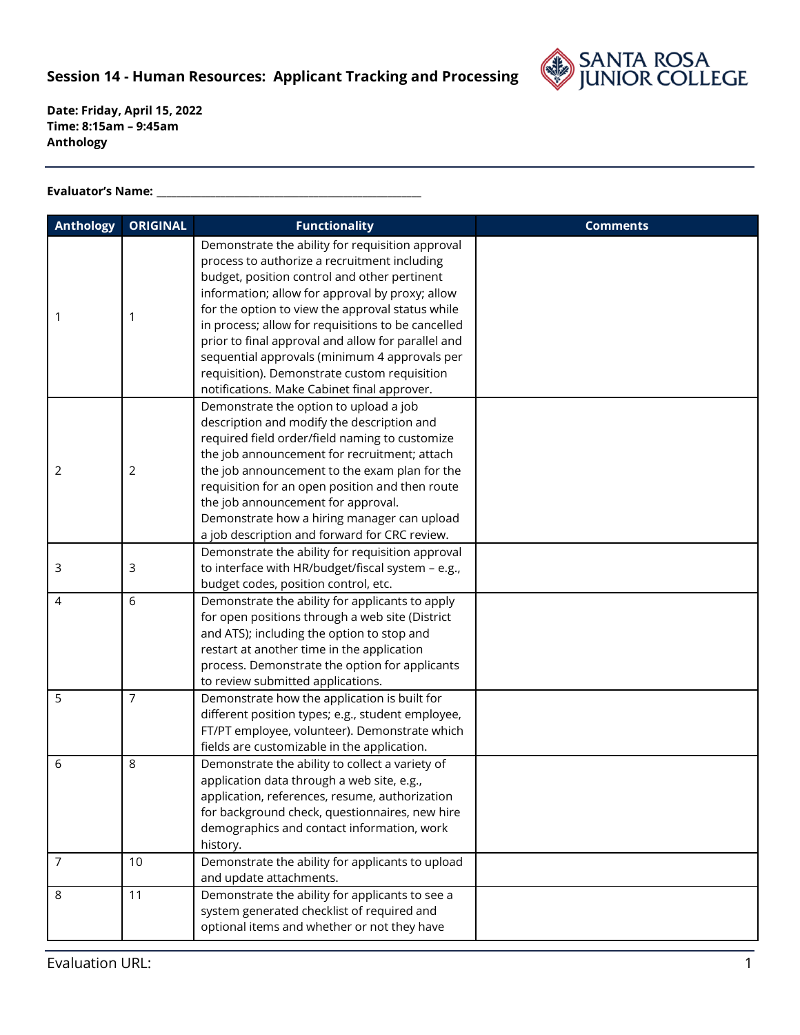

## **Evaluator's Name: \_\_\_\_\_\_\_\_\_\_\_\_\_\_\_\_\_\_\_\_\_\_\_\_\_\_\_\_\_\_\_\_\_\_\_\_\_\_\_\_\_\_\_\_\_\_\_\_\_\_\_\_\_\_**

| <b>Anthology</b> | <b>ORIGINAL</b> | <b>Functionality</b>                                                                                                                                                                                                                                                                                                                                                                                                                                                                                                | <b>Comments</b> |
|------------------|-----------------|---------------------------------------------------------------------------------------------------------------------------------------------------------------------------------------------------------------------------------------------------------------------------------------------------------------------------------------------------------------------------------------------------------------------------------------------------------------------------------------------------------------------|-----------------|
| 1                | 1               | Demonstrate the ability for requisition approval<br>process to authorize a recruitment including<br>budget, position control and other pertinent<br>information; allow for approval by proxy; allow<br>for the option to view the approval status while<br>in process; allow for requisitions to be cancelled<br>prior to final approval and allow for parallel and<br>sequential approvals (minimum 4 approvals per<br>requisition). Demonstrate custom requisition<br>notifications. Make Cabinet final approver. |                 |
| 2                | 2               | Demonstrate the option to upload a job<br>description and modify the description and<br>required field order/field naming to customize<br>the job announcement for recruitment; attach<br>the job announcement to the exam plan for the<br>requisition for an open position and then route<br>the job announcement for approval.<br>Demonstrate how a hiring manager can upload<br>a job description and forward for CRC review.                                                                                    |                 |
| 3                | 3               | Demonstrate the ability for requisition approval<br>to interface with HR/budget/fiscal system - e.g.,<br>budget codes, position control, etc.                                                                                                                                                                                                                                                                                                                                                                       |                 |
| 4                | 6               | Demonstrate the ability for applicants to apply<br>for open positions through a web site (District<br>and ATS); including the option to stop and<br>restart at another time in the application<br>process. Demonstrate the option for applicants<br>to review submitted applications.                                                                                                                                                                                                                               |                 |
| 5                | $\overline{7}$  | Demonstrate how the application is built for<br>different position types; e.g., student employee,<br>FT/PT employee, volunteer). Demonstrate which<br>fields are customizable in the application.                                                                                                                                                                                                                                                                                                                   |                 |
| 6                | 8               | Demonstrate the ability to collect a variety of<br>application data through a web site, e.g.,<br>application, references, resume, authorization<br>for background check, questionnaires, new hire<br>demographics and contact information, work<br>history.                                                                                                                                                                                                                                                         |                 |
| 7                | 10              | Demonstrate the ability for applicants to upload<br>and update attachments.                                                                                                                                                                                                                                                                                                                                                                                                                                         |                 |
| 8                | 11              | Demonstrate the ability for applicants to see a<br>system generated checklist of required and<br>optional items and whether or not they have                                                                                                                                                                                                                                                                                                                                                                        |                 |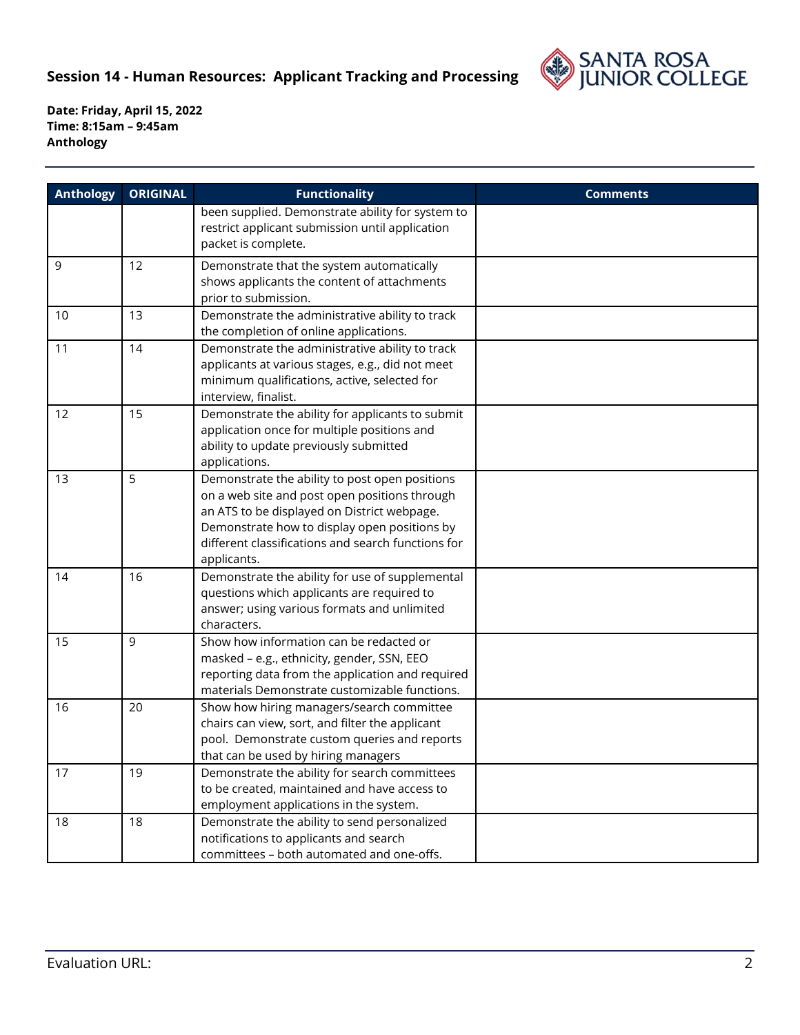

| <b>Anthology</b> | <b>ORIGINAL</b> | <b>Functionality</b>                                                                                                                                                                                                                                                | <b>Comments</b> |
|------------------|-----------------|---------------------------------------------------------------------------------------------------------------------------------------------------------------------------------------------------------------------------------------------------------------------|-----------------|
|                  |                 | been supplied. Demonstrate ability for system to<br>restrict applicant submission until application<br>packet is complete.                                                                                                                                          |                 |
| 9                | 12              | Demonstrate that the system automatically<br>shows applicants the content of attachments<br>prior to submission.                                                                                                                                                    |                 |
| 10               | 13              | Demonstrate the administrative ability to track<br>the completion of online applications.                                                                                                                                                                           |                 |
| 11               | 14              | Demonstrate the administrative ability to track<br>applicants at various stages, e.g., did not meet<br>minimum qualifications, active, selected for<br>interview, finalist.                                                                                         |                 |
| 12               | 15              | Demonstrate the ability for applicants to submit<br>application once for multiple positions and<br>ability to update previously submitted<br>applications.                                                                                                          |                 |
| 13               | 5               | Demonstrate the ability to post open positions<br>on a web site and post open positions through<br>an ATS to be displayed on District webpage.<br>Demonstrate how to display open positions by<br>different classifications and search functions for<br>applicants. |                 |
| 14               | 16              | Demonstrate the ability for use of supplemental<br>questions which applicants are required to<br>answer; using various formats and unlimited<br>characters.                                                                                                         |                 |
| 15               | 9               | Show how information can be redacted or<br>masked - e.g., ethnicity, gender, SSN, EEO<br>reporting data from the application and required<br>materials Demonstrate customizable functions.                                                                          |                 |
| 16               | 20              | Show how hiring managers/search committee<br>chairs can view, sort, and filter the applicant<br>pool. Demonstrate custom queries and reports<br>that can be used by hiring managers                                                                                 |                 |
| 17               | 19              | Demonstrate the ability for search committees<br>to be created, maintained and have access to<br>employment applications in the system.                                                                                                                             |                 |
| 18               | 18              | Demonstrate the ability to send personalized<br>notifications to applicants and search<br>committees - both automated and one-offs.                                                                                                                                 |                 |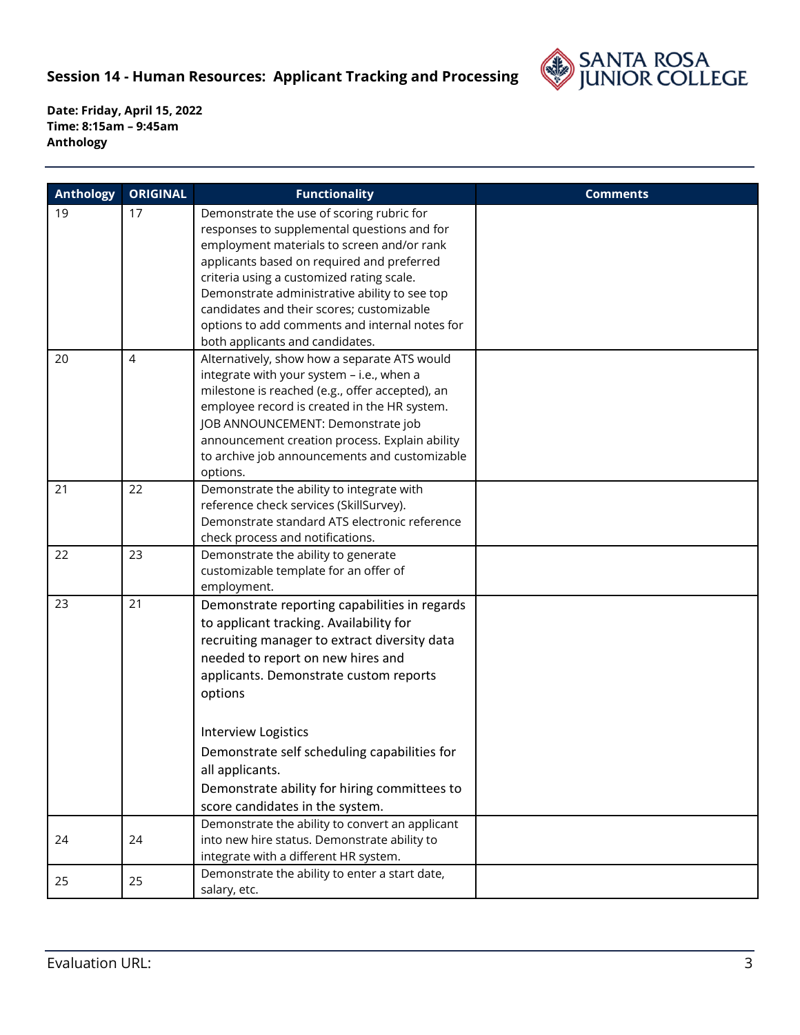

| <b>Anthology</b> | <b>ORIGINAL</b> | <b>Functionality</b>                                                                                                                                                                                                                                                                                                                                                                                                 | <b>Comments</b> |
|------------------|-----------------|----------------------------------------------------------------------------------------------------------------------------------------------------------------------------------------------------------------------------------------------------------------------------------------------------------------------------------------------------------------------------------------------------------------------|-----------------|
| 19               | 17              | Demonstrate the use of scoring rubric for<br>responses to supplemental questions and for<br>employment materials to screen and/or rank<br>applicants based on required and preferred<br>criteria using a customized rating scale.<br>Demonstrate administrative ability to see top<br>candidates and their scores; customizable<br>options to add comments and internal notes for<br>both applicants and candidates. |                 |
| 20               | $\overline{4}$  | Alternatively, show how a separate ATS would<br>integrate with your system - i.e., when a<br>milestone is reached (e.g., offer accepted), an<br>employee record is created in the HR system.<br>JOB ANNOUNCEMENT: Demonstrate job<br>announcement creation process. Explain ability<br>to archive job announcements and customizable<br>options.                                                                     |                 |
| 21               | 22              | Demonstrate the ability to integrate with<br>reference check services (SkillSurvey).<br>Demonstrate standard ATS electronic reference<br>check process and notifications.                                                                                                                                                                                                                                            |                 |
| 22               | 23              | Demonstrate the ability to generate<br>customizable template for an offer of<br>employment.                                                                                                                                                                                                                                                                                                                          |                 |
| 23               | 21              | Demonstrate reporting capabilities in regards<br>to applicant tracking. Availability for<br>recruiting manager to extract diversity data<br>needed to report on new hires and<br>applicants. Demonstrate custom reports<br>options<br><b>Interview Logistics</b><br>Demonstrate self scheduling capabilities for                                                                                                     |                 |
|                  |                 | all applicants.<br>Demonstrate ability for hiring committees to<br>score candidates in the system.                                                                                                                                                                                                                                                                                                                   |                 |
| 24               | 24              | Demonstrate the ability to convert an applicant<br>into new hire status. Demonstrate ability to<br>integrate with a different HR system.                                                                                                                                                                                                                                                                             |                 |
| 25               | 25              | Demonstrate the ability to enter a start date,<br>salary, etc.                                                                                                                                                                                                                                                                                                                                                       |                 |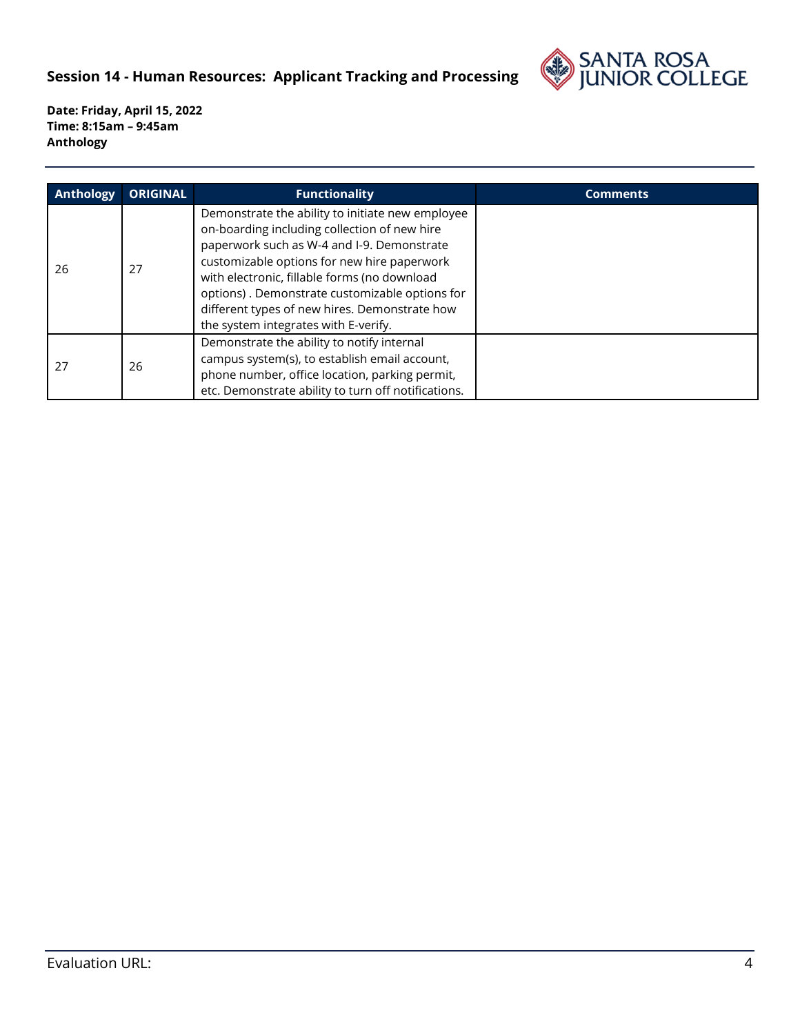

| <b>Anthology</b> | <b>ORIGINAL</b> | <b>Functionality</b>                                                                                                                                                                                                                                                                                                                                                                     | <b>Comments</b> |
|------------------|-----------------|------------------------------------------------------------------------------------------------------------------------------------------------------------------------------------------------------------------------------------------------------------------------------------------------------------------------------------------------------------------------------------------|-----------------|
| 26               | 27              | Demonstrate the ability to initiate new employee<br>on-boarding including collection of new hire<br>paperwork such as W-4 and I-9. Demonstrate<br>customizable options for new hire paperwork<br>with electronic, fillable forms (no download<br>options). Demonstrate customizable options for<br>different types of new hires. Demonstrate how<br>the system integrates with E-verify. |                 |
| 27               | 26              | Demonstrate the ability to notify internal<br>campus system(s), to establish email account,<br>phone number, office location, parking permit,<br>etc. Demonstrate ability to turn off notifications.                                                                                                                                                                                     |                 |